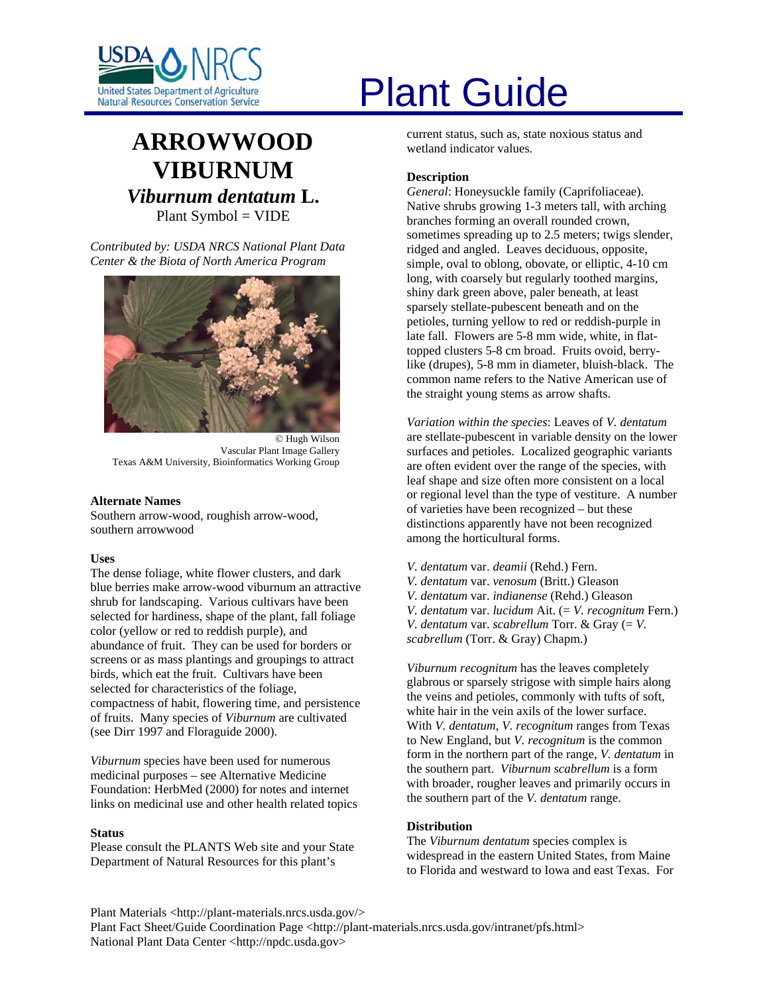

# **ARROWWOOD VIBURNUM** *Viburnum dentatum* **L.**  Plant Symbol = VIDE

*Contributed by: USDA NRCS National Plant Data Center & the Biota of North America Program* 



© Hugh Wilson Vascular Plant Image Gallery Texas A&M University, Bioinformatics Working Group

#### **Alternate Names**

Southern arrow-wood, roughish arrow-wood, southern arrowwood

# **Uses**

The dense foliage, white flower clusters, and dark blue berries make arrow-wood viburnum an attractive shrub for landscaping. Various cultivars have been selected for hardiness, shape of the plant, fall foliage color (yellow or red to reddish purple), and abundance of fruit. They can be used for borders or screens or as mass plantings and groupings to attract birds, which eat the fruit. Cultivars have been selected for characteristics of the foliage, compactness of habit, flowering time, and persistence of fruits. Many species of *Viburnum* are cultivated (see Dirr 1997 and Floraguide 2000).

*Viburnum* species have been used for numerous medicinal purposes – see Alternative Medicine Foundation: HerbMed (2000) for notes and internet links on medicinal use and other health related topics

#### **Status**

Please consult the PLANTS Web site and your State Department of Natural Resources for this plant's

# United States Department of Agriculture<br>Natural Resources Conservation Service

current status, such as, state noxious status and wetland indicator values.

# **Description**

*General*: Honeysuckle family (Caprifoliaceae). Native shrubs growing 1-3 meters tall, with arching branches forming an overall rounded crown, sometimes spreading up to 2.5 meters; twigs slender, ridged and angled. Leaves deciduous, opposite, simple, oval to oblong, obovate, or elliptic, 4-10 cm long, with coarsely but regularly toothed margins, shiny dark green above, paler beneath, at least sparsely stellate-pubescent beneath and on the petioles, turning yellow to red or reddish-purple in late fall. Flowers are 5-8 mm wide, white, in flattopped clusters 5-8 cm broad. Fruits ovoid, berrylike (drupes), 5-8 mm in diameter, bluish-black. The common name refers to the Native American use of the straight young stems as arrow shafts.

*Variation within the species*: Leaves of *V. dentatum* are stellate-pubescent in variable density on the lower surfaces and petioles. Localized geographic variants are often evident over the range of the species, with leaf shape and size often more consistent on a local or regional level than the type of vestiture. A number of varieties have been recognized – but these distinctions apparently have not been recognized among the horticultural forms.

*V. dentatum* var. *deamii* (Rehd.) Fern. *V. dentatum* var. *venosum* (Britt.) Gleason *V. dentatum* var. *indianense* (Rehd.) Gleason *V. dentatum* var. *lucidum* Ait. (= *V. recognitum* Fern.) *V. dentatum* var. *scabrellum* Torr. & Gray (= *V. scabrellum* (Torr. & Gray) Chapm.)

*Viburnum recognitum* has the leaves completely glabrous or sparsely strigose with simple hairs along the veins and petioles, commonly with tufts of soft, white hair in the vein axils of the lower surface. With *V. dentatum*, *V. recognitum* ranges from Texas to New England, but *V. recognitum* is the common form in the northern part of the range, *V. dentatum* in the southern part. *Viburnum scabrellum* is a form with broader, rougher leaves and primarily occurs in the southern part of the *V. dentatum* range.

# **Distribution**

The *Viburnum dentatum* species complex is widespread in the eastern United States, from Maine to Florida and westward to Iowa and east Texas. For

Plant Materials <http://plant-materials.nrcs.usda.gov/>

Plant Fact Sheet/Guide Coordination Page <http://plant-materials.nrcs.usda.gov/intranet/pfs.html> National Plant Data Center <http://npdc.usda.gov>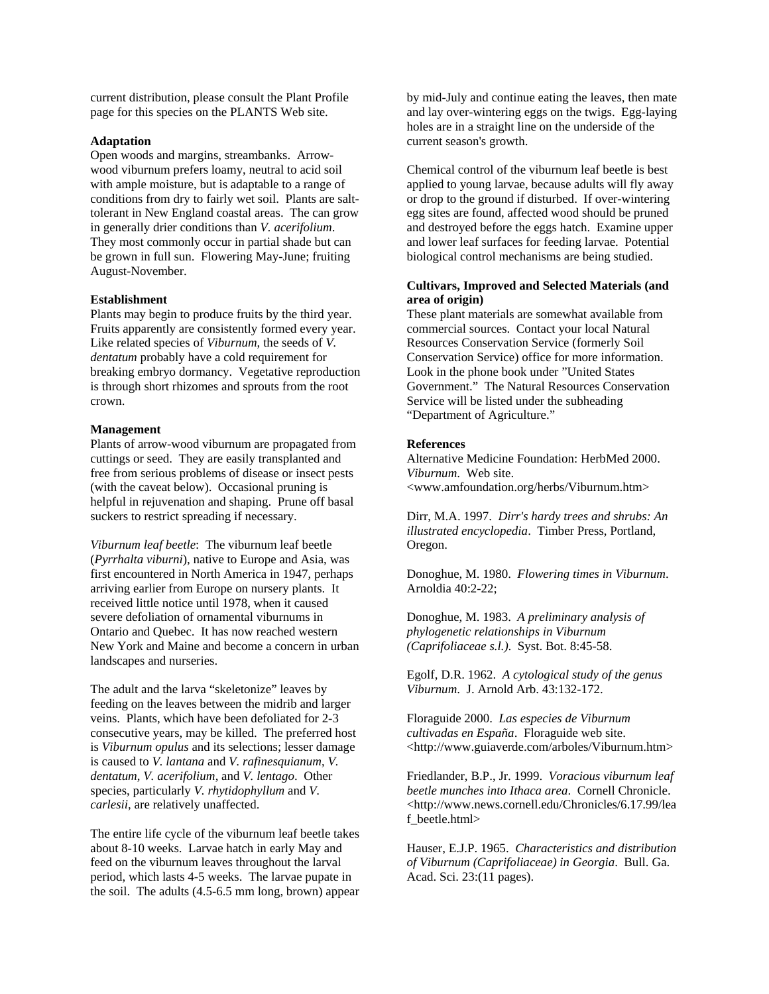current distribution, please consult the Plant Profile page for this species on the PLANTS Web site.

#### **Adaptation**

Open woods and margins, streambanks. Arrowwood viburnum prefers loamy, neutral to acid soil with ample moisture, but is adaptable to a range of conditions from dry to fairly wet soil. Plants are salttolerant in New England coastal areas. The can grow in generally drier conditions than *V. acerifolium*. They most commonly occur in partial shade but can be grown in full sun. Flowering May-June; fruiting August-November.

#### **Establishment**

Plants may begin to produce fruits by the third year. Fruits apparently are consistently formed every year. Like related species of *Viburnum*, the seeds of *V. dentatum* probably have a cold requirement for breaking embryo dormancy. Vegetative reproduction is through short rhizomes and sprouts from the root crown.

#### **Management**

Plants of arrow-wood viburnum are propagated from cuttings or seed. They are easily transplanted and free from serious problems of disease or insect pests (with the caveat below). Occasional pruning is helpful in rejuvenation and shaping. Prune off basal suckers to restrict spreading if necessary.

*Viburnum leaf beetle*: The viburnum leaf beetle (*Pyrrhalta viburni*), native to Europe and Asia, was first encountered in North America in 1947, perhaps arriving earlier from Europe on nursery plants. It received little notice until 1978, when it caused severe defoliation of ornamental viburnums in Ontario and Quebec. It has now reached western New York and Maine and become a concern in urban landscapes and nurseries.

The adult and the larva "skeletonize" leaves by feeding on the leaves between the midrib and larger veins. Plants, which have been defoliated for 2-3 consecutive years, may be killed. The preferred host is *Viburnum opulus* and its selections; lesser damage is caused to *V. lantana* and *V. rafinesquianum*, *V. dentatum*, *V. acerifolium*, and *V. lentago*. Other species, particularly *V. rhytidophyllum* and *V. carlesii*, are relatively unaffected.

The entire life cycle of the viburnum leaf beetle takes about 8-10 weeks. Larvae hatch in early May and feed on the viburnum leaves throughout the larval period, which lasts 4-5 weeks. The larvae pupate in the soil. The adults (4.5-6.5 mm long, brown) appear by mid-July and continue eating the leaves, then mate and lay over-wintering eggs on the twigs. Egg-laying holes are in a straight line on the underside of the current season's growth.

Chemical control of the viburnum leaf beetle is best applied to young larvae, because adults will fly away or drop to the ground if disturbed. If over-wintering egg sites are found, affected wood should be pruned and destroyed before the eggs hatch. Examine upper and lower leaf surfaces for feeding larvae. Potential biological control mechanisms are being studied.

### **Cultivars, Improved and Selected Materials (and area of origin)**

These plant materials are somewhat available from commercial sources. Contact your local Natural Resources Conservation Service (formerly Soil Conservation Service) office for more information. Look in the phone book under "United States Government." The Natural Resources Conservation Service will be listed under the subheading "Department of Agriculture."

#### **References**

Alternative Medicine Foundation: HerbMed 2000. *Viburnum*. Web site. <www.amfoundation.org/herbs/Viburnum.htm>

Dirr, M.A. 1997. *Dirr's hardy trees and shrubs: An illustrated encyclopedia*. Timber Press, Portland, Oregon.

Donoghue, M. 1980. *Flowering times in Viburnum*. Arnoldia 40:2-22;

Donoghue, M. 1983. *A preliminary analysis of phylogenetic relationships in Viburnum (Caprifoliaceae s.l.)*. Syst. Bot. 8:45-58.

Egolf, D.R. 1962. *A cytological study of the genus Viburnum*. J. Arnold Arb. 43:132-172.

Floraguide 2000. *Las especies de Viburnum cultivadas en España*. Floraguide web site. <http://www.guiaverde.com/arboles/Viburnum.htm>

Friedlander, B.P., Jr. 1999. *Voracious viburnum leaf beetle munches into Ithaca area*. Cornell Chronicle. <http://www.news.cornell.edu/Chronicles/6.17.99/lea f\_beetle.html>

Hauser, E.J.P. 1965. *Characteristics and distribution of Viburnum (Caprifoliaceae) in Georgia*. Bull. Ga. Acad. Sci. 23:(11 pages).